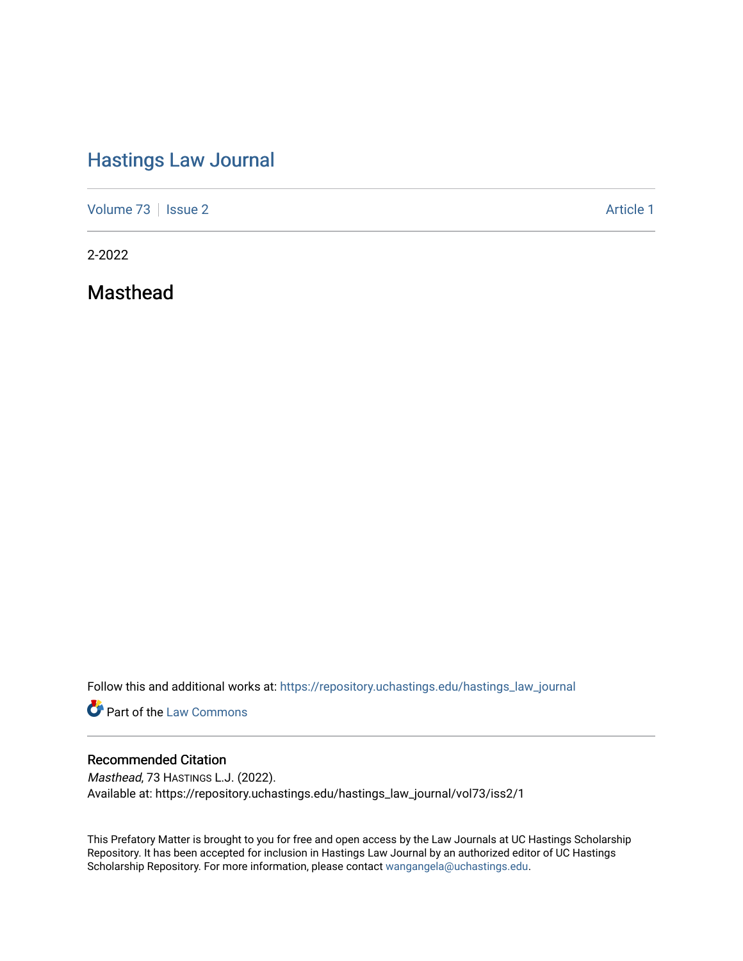# [Hastings Law Journal](https://repository.uchastings.edu/hastings_law_journal)

[Volume 73](https://repository.uchastings.edu/hastings_law_journal/vol73) | [Issue 2](https://repository.uchastings.edu/hastings_law_journal/vol73/iss2) Article 1

2-2022

Masthead

Follow this and additional works at: [https://repository.uchastings.edu/hastings\\_law\\_journal](https://repository.uchastings.edu/hastings_law_journal?utm_source=repository.uchastings.edu%2Fhastings_law_journal%2Fvol73%2Fiss2%2F1&utm_medium=PDF&utm_campaign=PDFCoverPages) 

**Part of the [Law Commons](http://network.bepress.com/hgg/discipline/578?utm_source=repository.uchastings.edu%2Fhastings_law_journal%2Fvol73%2Fiss2%2F1&utm_medium=PDF&utm_campaign=PDFCoverPages)** 

### Recommended Citation

Masthead, 73 HASTINGS L.J. (2022). Available at: https://repository.uchastings.edu/hastings\_law\_journal/vol73/iss2/1

This Prefatory Matter is brought to you for free and open access by the Law Journals at UC Hastings Scholarship Repository. It has been accepted for inclusion in Hastings Law Journal by an authorized editor of UC Hastings Scholarship Repository. For more information, please contact [wangangela@uchastings.edu.](mailto:wangangela@uchastings.edu)